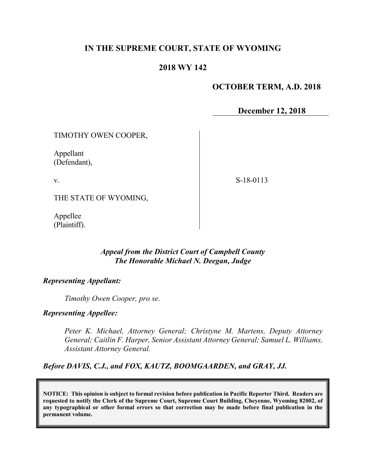## **IN THE SUPREME COURT, STATE OF WYOMING**

### **2018 WY 142**

## **OCTOBER TERM, A.D. 2018**

**December 12, 2018**

TIMOTHY OWEN COOPER,

Appellant (Defendant),

v.

S-18-0113

THE STATE OF WYOMING,

Appellee (Plaintiff).

#### *Appeal from the District Court of Campbell County The Honorable Michael N. Deegan, Judge*

#### *Representing Appellant:*

*Timothy Owen Cooper, pro se.*

*Representing Appellee:*

*Peter K. Michael, Attorney General; Christyne M. Martens, Deputy Attorney General; Caitlin F. Harper, Senior Assistant Attorney General; Samuel L. Williams, Assistant Attorney General.*

*Before DAVIS, C.J., and FOX, KAUTZ, BOOMGAARDEN, and GRAY, JJ.*

**NOTICE: This opinion is subject to formal revision before publication in Pacific Reporter Third. Readers are requested to notify the Clerk of the Supreme Court, Supreme Court Building, Cheyenne, Wyoming 82002, of any typographical or other formal errors so that correction may be made before final publication in the permanent volume.**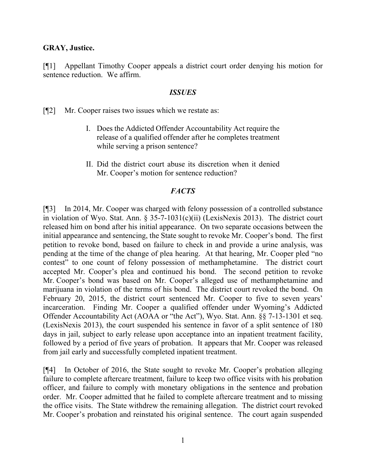#### **GRAY, Justice.**

[¶1] Appellant Timothy Cooper appeals a district court order denying his motion for sentence reduction. We affirm.

#### *ISSUES*

[¶2] Mr. Cooper raises two issues which we restate as:

- I. Does the Addicted Offender Accountability Act require the release of a qualified offender after he completes treatment while serving a prison sentence?
- II. Did the district court abuse its discretion when it denied Mr. Cooper's motion for sentence reduction?

### *FACTS*

[¶3] In 2014, Mr. Cooper was charged with felony possession of a controlled substance in violation of Wyo. Stat. Ann. § 35-7-1031(c)(ii) (LexisNexis 2013). The district court released him on bond after his initial appearance. On two separate occasions between the initial appearance and sentencing, the State sought to revoke Mr. Cooper's bond. The first petition to revoke bond, based on failure to check in and provide a urine analysis, was pending at the time of the change of plea hearing. At that hearing, Mr. Cooper pled "no contest" to one count of felony possession of methamphetamine. The district court accepted Mr. Cooper's plea and continued his bond. The second petition to revoke Mr. Cooper's bond was based on Mr. Cooper's alleged use of methamphetamine and marijuana in violation of the terms of his bond. The district court revoked the bond. On February 20, 2015, the district court sentenced Mr. Cooper to five to seven years' incarceration. Finding Mr. Cooper a qualified offender under Wyoming's Addicted Offender Accountability Act (AOAA or "the Act"), Wyo. Stat. Ann. §§ 7-13-1301 et seq. (LexisNexis 2013), the court suspended his sentence in favor of a split sentence of 180 days in jail, subject to early release upon acceptance into an inpatient treatment facility, followed by a period of five years of probation. It appears that Mr. Cooper was released from jail early and successfully completed inpatient treatment.

[¶4] In October of 2016, the State sought to revoke Mr. Cooper's probation alleging failure to complete aftercare treatment, failure to keep two office visits with his probation officer, and failure to comply with monetary obligations in the sentence and probation order. Mr. Cooper admitted that he failed to complete aftercare treatment and to missing the office visits. The State withdrew the remaining allegation. The district court revoked Mr. Cooper's probation and reinstated his original sentence. The court again suspended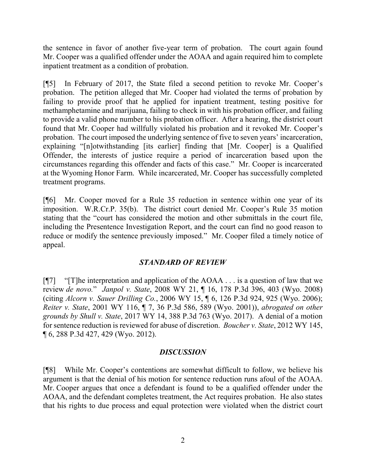the sentence in favor of another five-year term of probation. The court again found Mr. Cooper was a qualified offender under the AOAA and again required him to complete inpatient treatment as a condition of probation.

[¶5] In February of 2017, the State filed a second petition to revoke Mr. Cooper's probation. The petition alleged that Mr. Cooper had violated the terms of probation by failing to provide proof that he applied for inpatient treatment, testing positive for methamphetamine and marijuana, failing to check in with his probation officer, and failing to provide a valid phone number to his probation officer. After a hearing, the district court found that Mr. Cooper had willfully violated his probation and it revoked Mr. Cooper's probation. The court imposed the underlying sentence of five to seven years' incarceration, explaining "[n]otwithstanding [its earlier] finding that [Mr. Cooper] is a Qualified Offender, the interests of justice require a period of incarceration based upon the circumstances regarding this offender and facts of this case." Mr. Cooper is incarcerated at the Wyoming Honor Farm. While incarcerated, Mr. Cooper has successfully completed treatment programs.

[¶6] Mr. Cooper moved for a Rule 35 reduction in sentence within one year of its imposition. W.R.Cr.P. 35(b). The district court denied Mr. Cooper's Rule 35 motion stating that the "court has considered the motion and other submittals in the court file, including the Presentence Investigation Report, and the court can find no good reason to reduce or modify the sentence previously imposed." Mr. Cooper filed a timely notice of appeal.

### *STANDARD OF REVIEW*

 $[T]$  "[T] he interpretation and application of the AOAA . . . is a question of law that we review *de novo.*" *Janpol v. State*, 2008 WY 21, ¶ 16, 178 P.3d 396, 403 (Wyo. 2008) (citing *Alcorn v. Sauer Drilling Co.*, 2006 WY 15, ¶ 6, 126 P.3d 924, 925 (Wyo. 2006); *Reiter v. State*, 2001 WY 116, ¶ 7, 36 P.3d 586, 589 (Wyo. 2001)), *abrogated on other grounds by Shull v. State*, 2017 WY 14, 388 P.3d 763 (Wyo. 2017). A denial of a motion for sentence reduction is reviewed for abuse of discretion. *Boucher v. State*, 2012 WY 145, ¶ 6, 288 P.3d 427, 429 (Wyo. 2012).

#### *DISCUSSION*

[¶8] While Mr. Cooper's contentions are somewhat difficult to follow, we believe his argument is that the denial of his motion for sentence reduction runs afoul of the AOAA. Mr. Cooper argues that once a defendant is found to be a qualified offender under the AOAA, and the defendant completes treatment, the Act requires probation. He also states that his rights to due process and equal protection were violated when the district court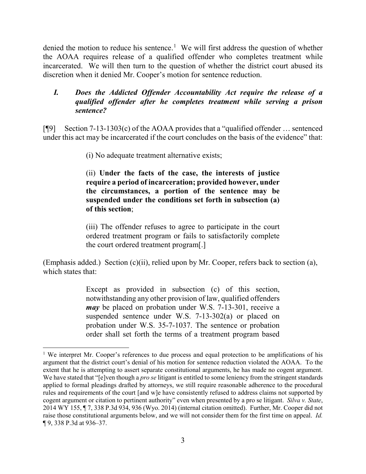denied the motion to reduce his sentence.<sup>[1](#page-3-0)</sup> We will first address the question of whether the AOAA requires release of a qualified offender who completes treatment while incarcerated. We will then turn to the question of whether the district court abused its discretion when it denied Mr. Cooper's motion for sentence reduction.

## *I. Does the Addicted Offender Accountability Act require the release of a qualified offender after he completes treatment while serving a prison sentence?*

[¶9] Section 7-13-1303(c) of the AOAA provides that a "qualified offender … sentenced under this act may be incarcerated if the court concludes on the basis of the evidence" that:

(i) No adequate treatment alternative exists;

(ii) **Under the facts of the case, the interests of justice require a period of incarceration; provided however, under the circumstances, a portion of the sentence may be suspended under the conditions set forth in subsection (a) of this section**;

(iii) The offender refuses to agree to participate in the court ordered treatment program or fails to satisfactorily complete the court ordered treatment program[.]

(Emphasis added.) Section (c)(ii), relied upon by Mr. Cooper, refers back to section (a), which states that:

> Except as provided in subsection (c) of this section, notwithstanding any other provision of law, qualified offenders *may* be placed on probation under W.S. 7-13-301, receive a suspended sentence under W.S. 7-13-302(a) or placed on probation under W.S. 35-7-1037. The sentence or probation order shall set forth the terms of a treatment program based

l

<span id="page-3-0"></span><sup>&</sup>lt;sup>1</sup> We interpret Mr. Cooper's references to due process and equal protection to be amplifications of his argument that the district court's denial of his motion for sentence reduction violated the AOAA. To the extent that he is attempting to assert separate constitutional arguments, he has made no cogent argument. We have stated that "[e]ven though a *pro se* litigant is entitled to some leniency from the stringent standards applied to formal pleadings drafted by attorneys, we still require reasonable adherence to the procedural rules and requirements of the court [and w]e have consistently refused to address claims not supported by cogent argument or citation to pertinent authority" even when presented by a pro se litigant. *Silva v. State*, 2014 WY 155, ¶ 7, 338 P.3d 934, 936 (Wyo. 2014) (internal citation omitted). Further, Mr. Cooper did not raise those constitutional arguments below, and we will not consider them for the first time on appeal. *Id.* ¶ 9, 338 P.3d at 936–37.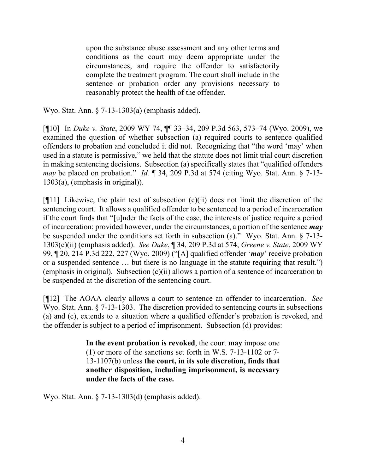upon the substance abuse assessment and any other terms and conditions as the court may deem appropriate under the circumstances, and require the offender to satisfactorily complete the treatment program. The court shall include in the sentence or probation order any provisions necessary to reasonably protect the health of the offender.

Wyo. Stat. Ann. § 7-13-1303(a) (emphasis added).

[¶10] In *Duke v. State*, 2009 WY 74, ¶¶ 33–34, 209 P.3d 563, 573–74 (Wyo. 2009), we examined the question of whether subsection (a) required courts to sentence qualified offenders to probation and concluded it did not. Recognizing that "the word 'may' when used in a statute is permissive," we held that the statute does not limit trial court discretion in making sentencing decisions. Subsection (a) specifically states that "qualified offenders *may* be placed on probation." *Id.* ¶ 34, 209 P.3d at 574 (citing Wyo. Stat. Ann. § 7-13- 1303(a), (emphasis in original)).

 $[$ [[11] Likewise, the plain text of subsection  $(c)(ii)$  does not limit the discretion of the sentencing court. It allows a qualified offender to be sentenced to a period of incarceration if the court finds that "[u]nder the facts of the case, the interests of justice require a period of incarceration; provided however, under the circumstances, a portion of the sentence *may* be suspended under the conditions set forth in subsection (a)." Wyo. Stat. Ann. § 7-13- 1303(c)(ii) (emphasis added). *See Duke*, ¶ 34, 209 P.3d at 574; *Greene v. State*, 2009 WY 99, ¶ 20, 214 P.3d 222, 227 (Wyo. 2009) ("[A] qualified offender '*may*' receive probation or a suspended sentence … but there is no language in the statute requiring that result.") (emphasis in original). Subsection (c)(ii) allows a portion of a sentence of incarceration to be suspended at the discretion of the sentencing court.

[¶12] The AOAA clearly allows a court to sentence an offender to incarceration. *See*  Wyo. Stat. Ann. § 7-13-1303. The discretion provided to sentencing courts in subsections (a) and (c), extends to a situation where a qualified offender's probation is revoked, and the offender is subject to a period of imprisonment. Subsection (d) provides:

> **In the event probation is revoked**, the court **may** impose one (1) or more of the sanctions set forth in W.S. 7-13-1102 or 7- 13-1107(b) unless **the court, in its sole discretion, finds that another disposition, including imprisonment, is necessary under the facts of the case.**

Wyo. Stat. Ann. § 7-13-1303(d) (emphasis added).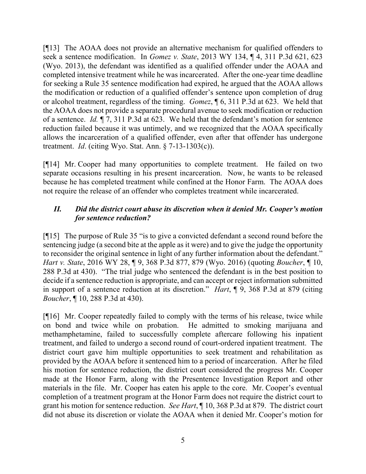[¶13] The AOAA does not provide an alternative mechanism for qualified offenders to seek a sentence modification. In *Gomez v. State*, 2013 WY 134, ¶ 4, 311 P.3d 621, 623 (Wyo. 2013), the defendant was identified as a qualified offender under the AOAA and completed intensive treatment while he was incarcerated. After the one-year time deadline for seeking a Rule 35 sentence modification had expired, he argued that the AOAA allows the modification or reduction of a qualified offender's sentence upon completion of drug or alcohol treatment, regardless of the timing. *Gomez*, ¶ 6, 311 P.3d at 623. We held that the AOAA does not provide a separate procedural avenue to seek modification or reduction of a sentence. *Id.* ¶ 7, 311 P.3d at 623. We held that the defendant's motion for sentence reduction failed because it was untimely, and we recognized that the AOAA specifically allows the incarceration of a qualified offender, even after that offender has undergone treatment. *Id*. (citing Wyo. Stat. Ann. § 7-13-1303(c)).

[¶14] Mr. Cooper had many opportunities to complete treatment. He failed on two separate occasions resulting in his present incarceration. Now, he wants to be released because he has completed treatment while confined at the Honor Farm. The AOAA does not require the release of an offender who completes treatment while incarcerated.

# *II. Did the district court abuse its discretion when it denied Mr. Cooper's motion for sentence reduction?*

[¶15] The purpose of Rule 35 "is to give a convicted defendant a second round before the sentencing judge (a second bite at the apple as it were) and to give the judge the opportunity to reconsider the original sentence in light of any further information about the defendant." *Hart v. State*, 2016 WY 28, ¶ 9, 368 P.3d 877, 879 (Wyo. 2016) (quoting *Boucher*, ¶ 10, 288 P.3d at 430). "The trial judge who sentenced the defendant is in the best position to decide if a sentence reduction is appropriate, and can accept or reject information submitted in support of a sentence reduction at its discretion." *Hart*, ¶ 9, 368 P.3d at 879 (citing *Boucher*, ¶ 10, 288 P.3d at 430).

[¶16] Mr. Cooper repeatedly failed to comply with the terms of his release, twice while on bond and twice while on probation. He admitted to smoking marijuana and methamphetamine, failed to successfully complete aftercare following his inpatient treatment, and failed to undergo a second round of court-ordered inpatient treatment. The district court gave him multiple opportunities to seek treatment and rehabilitation as provided by the AOAA before it sentenced him to a period of incarceration. After he filed his motion for sentence reduction, the district court considered the progress Mr. Cooper made at the Honor Farm, along with the Presentence Investigation Report and other materials in the file. Mr. Cooper has eaten his apple to the core. Mr. Cooper's eventual completion of a treatment program at the Honor Farm does not require the district court to grant his motion for sentence reduction. *See Hart*, ¶ 10, 368 P.3d at 879. The district court did not abuse its discretion or violate the AOAA when it denied Mr. Cooper's motion for